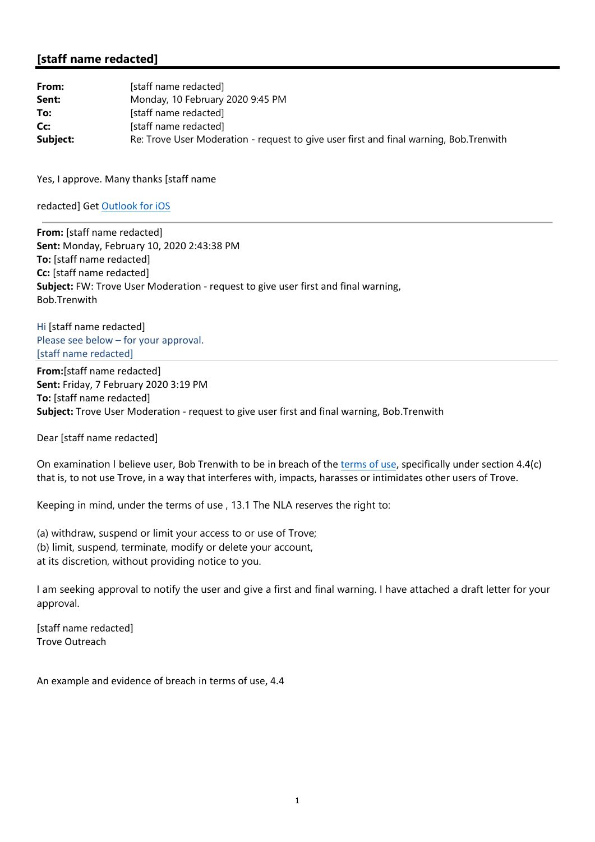## **[staff name redacted]**

| From:    | [staff name redacted]                                                                  |
|----------|----------------------------------------------------------------------------------------|
| Sent:    | Monday, 10 February 2020 9:45 PM                                                       |
| To:      | [staff name redacted]                                                                  |
| Cc:      | [staff name redacted]                                                                  |
| Subject: | Re: Trove User Moderation - request to give user first and final warning, Bob.Trenwith |

Yes, I approve. Many thanks [staff name

redacted] Get Outlook for iOS

**From:** [staff name redacted] **Sent:** Monday, February 10, 2020 2:43:38 PM **To:** [staff name redacted] **Cc:** [staff name redacted] **Subject:** FW: Trove User Moderation ‐ request to give user first and final warning, Bob.Trenwith

Hi [staff name redacted] Please see below – for your approval. [staff name redacted]

**From:**[staff name redacted] **Sent:** Friday, 7 February 2020 3:19 PM **To:** [staff name redacted] **Subject:** Trove User Moderation ‐ request to give user first and final warning, Bob.Trenwith

Dear [staff name redacted]

On examination I believe user, Bob Trenwith to be in breach of the terms of use, specifically under section 4.4(c) that is, to not use Trove, in a way that interferes with, impacts, harasses or intimidates other users of Trove.

Keeping in mind, under the terms of use , 13.1 The NLA reserves the right to:

(a) withdraw, suspend or limit your access to or use of Trove; (b) limit, suspend, terminate, modify or delete your account, at its discretion, without providing notice to you.

I am seeking approval to notify the user and give a first and final warning. I have attached a draft letter for your approval.

[staff name redacted] Trove Outreach

An example and evidence of breach in terms of use, 4.4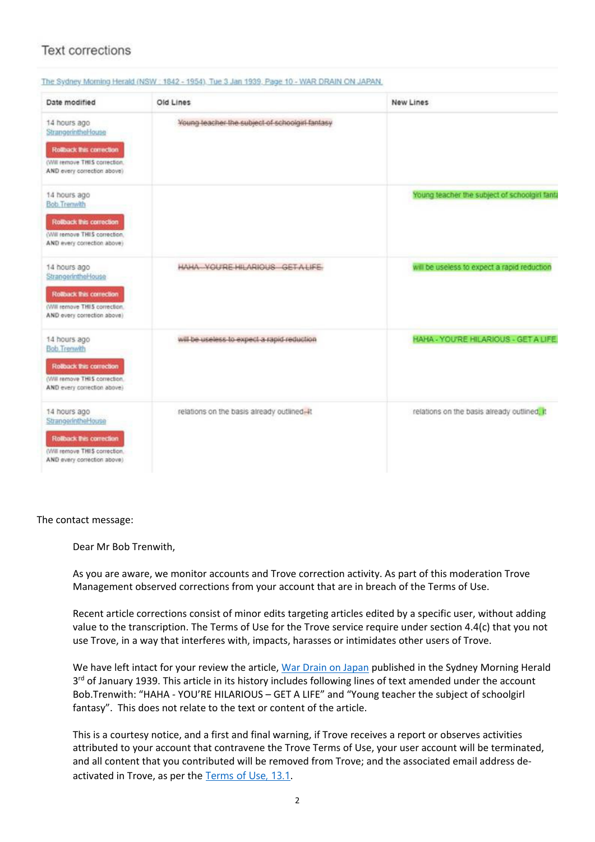## **Text corrections**

| Date modified                                                                                                                         | Old Lines                                       | New Lines                                     |
|---------------------------------------------------------------------------------------------------------------------------------------|-------------------------------------------------|-----------------------------------------------|
| 14 hours ago<br>StrangerintheHouse<br><b>Rolback this correction</b><br>(Will remove THIS correction.<br>AND every correction above)  | Young leacher the subject of schoolgirl fantasy |                                               |
| 14 hours ago<br><b>Bob Trenwith</b><br><b>Rolback this correction</b><br>(Will remove THIS correction.<br>AND every correction above) |                                                 | Young teacher the subject of schoolgirl fanta |
| 14 hours ago<br>StrangerintheHouse<br><b>Rolback this correction</b><br>(Will remove THIS correction.<br>AND every correction above)  | HAHA YOU'RE HILARIOUS GETALIFE                  | will be useless to expect a rapid reduction   |
| 14 hours ago<br><b>Bob Trenwith</b><br>Rolback this correction<br>(Will remove THIS correction.<br>AND every correction above)        | will be useless to expect a rapid reduction     | HAHA - YOU'RE HILARIOUS - GET A LIFE          |
| 14 hours ago<br>StrangerintheHouse<br><b>Rollback this correction</b><br>(Will remove THIS correction.<br>AND every correction above) | relations on the basis already outlined-it      | relations on the basis already outlined, it   |

## The Sydney Morning Harabt (NSW - 1842 - 1954). Tue 3, Jan 1939 - Page 10 - WAR DRAIN ON JAPAN.

The contact message:

Dear Mr Bob Trenwith,

As you are aware, we monitor accounts and Trove correction activity. As part of this moderation Trove Management observed corrections from your account that are in breach of the Terms of Use.

Recent article corrections consist of minor edits targeting articles edited by a specific user, without adding value to the transcription. The Terms of Use for the Trove service require under section 4.4(c) that you not use Trove, in a way that interferes with, impacts, harasses or intimidates other users of Trove.

We have left intact for your review the article, War Drain on Japan published in the Sydney Morning Herald 3<sup>rd</sup> of January 1939. This article in its history includes following lines of text amended under the account Bob.Trenwith: "HAHA ‐ YOU'RE HILARIOUS – GET A LIFE" and "Young teacher the subject of schoolgirl fantasy". This does not relate to the text or content of the article.

This is a courtesy notice, and a first and final warning, if Trove receives a report or observes activities attributed to your account that contravene the Trove Terms of Use, your user account will be terminated, and all content that you contributed will be removed from Trove; and the associated email address de‐ activated in Trove, as per the Terms of Use, 13.1.